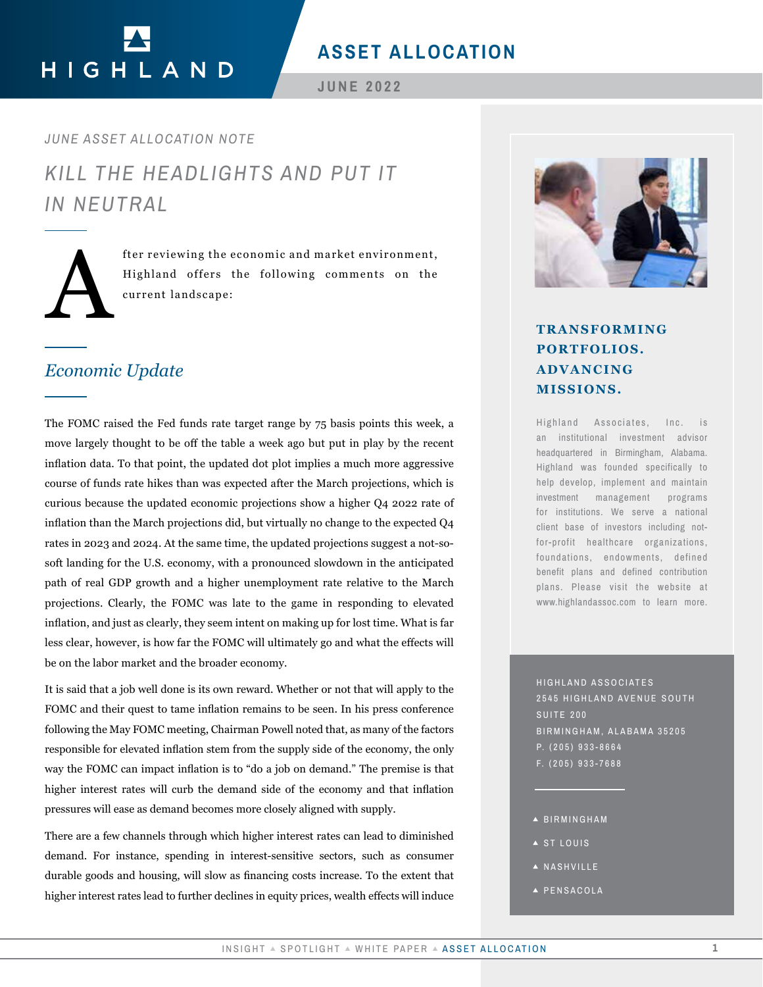## **ASSET ALLOCATION**

HIGHLAND

**JUNE 2022**

*KILL THE HEADLIGHTS AND PUT IT IN NEUTRAL JUNE ASSET ALLOCATION NOTE*



fter reviewing the economic and market environment,<br>Highland offers the following comments on the<br>current landscape: Highland offers the following comments on the current landscape:

### *Economic Update*

The FOMC raised the Fed funds rate target range by 75 basis points this week, a move largely thought to be off the table a week ago but put in play by the recent inflation data. To that point, the updated dot plot implies a much more aggressive course of funds rate hikes than was expected after the March projections, which is curious because the updated economic projections show a higher Q4 2022 rate of inflation than the March projections did, but virtually no change to the expected Q4 rates in 2023 and 2024. At the same time, the updated projections suggest a not-sosoft landing for the U.S. economy, with a pronounced slowdown in the anticipated path of real GDP growth and a higher unemployment rate relative to the March projections. Clearly, the FOMC was late to the game in responding to elevated inflation, and just as clearly, they seem intent on making up for lost time. What is far less clear, however, is how far the FOMC will ultimately go and what the effects will be on the labor market and the broader economy. TRANSFORMING<br> **PORTOLLOS.**<br> **PORTOLLOS**<br> **EXECUTE A MISSISTONS.**<br> **EXECUTE A MISSISTONS.**<br> **EXECUTE A MISSISTONS**<br> **EXECUTE AND MUNITE AND TO PERTOLLOS**<br> **EXECUTE AND MUNITE AND TRANSFORMING**<br> **EXECUTE AND MUNITE AND A SU** 

It is said that a job well done is its own reward. Whether or not that will apply to the FOMC and their quest to tame inflation remains to be seen. In his press conference following the May FOMC meeting, Chairman Powell noted that, as many of the factors responsible for elevated inflation stem from the supply side of the economy, the only way the FOMC can impact inflation is to "do a job on demand." The premise is that higher interest rates will curb the demand side of the economy and that inflation pressures will ease as demand becomes more closely aligned with supply.

There are a few channels through which higher interest rates can lead to diminished demand. For instance, spending in interest-sensitive sectors, such as consumer durable goods and housing, will slow as financing costs increase. To the extent that higher interest rates lead to further declines in equity prices, wealth effects will induce



# **PORTFOLIOS. ADVANCING MISSIONS.**

Highland Associates, Inc. is an institutional investment advisor headquartered in Birmingham, Alabama. Highland was founded specifically to help develop, implement and maintain investment management programs for institutions. We serve a national client base of investors including notfor-profit healthcare organizations, foundations, endowments, defined benefit plans and defined contribution plans. Please visit the website at www.highlandassoc.com to learn more.

HIGHLAND ASSOCIATES 2545 HIGHLAND AVENUE SOUTH SUITE 200 BIRMINGHAM, ALABAMA 35205 P. (205) 933-8664 F. (205) 933-7688

- BIRMINGHAM
- ▲ ST LOUIS
- A NASHVILLE
- PENSACOLA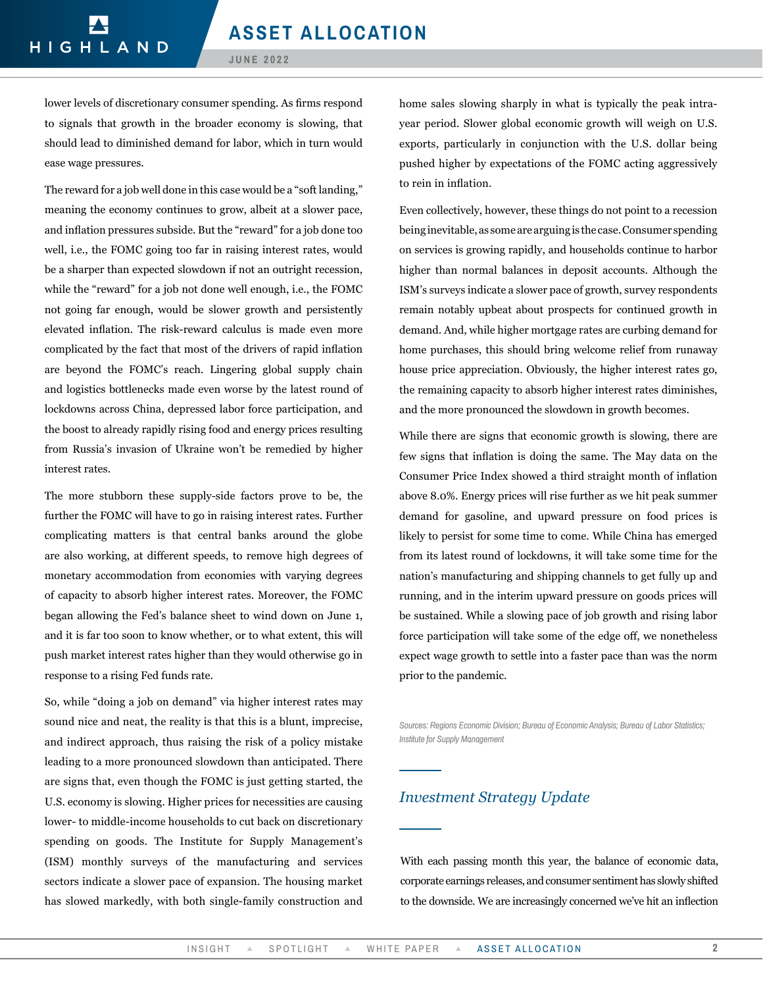**JUNE 2022**

lower levels of discretionary consumer spending. As firms respond to signals that growth in the broader economy is slowing, that should lead to diminished demand for labor, which in turn would ease wage pressures.

The reward for a job well done in this case would be a "soft landing," meaning the economy continues to grow, albeit at a slower pace, and inflation pressures subside. But the "reward" for a job done too well, i.e., the FOMC going too far in raising interest rates, would be a sharper than expected slowdown if not an outright recession, while the "reward" for a job not done well enough, i.e., the FOMC not going far enough, would be slower growth and persistently elevated inflation. The risk-reward calculus is made even more complicated by the fact that most of the drivers of rapid inflation are beyond the FOMC's reach. Lingering global supply chain and logistics bottlenecks made even worse by the latest round of lockdowns across China, depressed labor force participation, and the boost to already rapidly rising food and energy prices resulting from Russia's invasion of Ukraine won't be remedied by higher interest rates.

The more stubborn these supply-side factors prove to be, the further the FOMC will have to go in raising interest rates. Further complicating matters is that central banks around the globe are also working, at different speeds, to remove high degrees of monetary accommodation from economies with varying degrees of capacity to absorb higher interest rates. Moreover, the FOMC began allowing the Fed's balance sheet to wind down on June 1, and it is far too soon to know whether, or to what extent, this will push market interest rates higher than they would otherwise go in response to a rising Fed funds rate.

So, while "doing a job on demand" via higher interest rates may sound nice and neat, the reality is that this is a blunt, imprecise, and indirect approach, thus raising the risk of a policy mistake leading to a more pronounced slowdown than anticipated. There are signs that, even though the FOMC is just getting started, the U.S. economy is slowing. Higher prices for necessities are causing lower- to middle-income households to cut back on discretionary spending on goods. The Institute for Supply Management's (ISM) monthly surveys of the manufacturing and services sectors indicate a slower pace of expansion. The housing market has slowed markedly, with both single-family construction and

home sales slowing sharply in what is typically the peak intrayear period. Slower global economic growth will weigh on U.S. exports, particularly in conjunction with the U.S. dollar being pushed higher by expectations of the FOMC acting aggressively to rein in inflation.

Even collectively, however, these things do not point to a recession being inevitable, as some are arguing is the case. Consumer spending on services is growing rapidly, and households continue to harbor higher than normal balances in deposit accounts. Although the ISM's surveys indicate a slower pace of growth, survey respondents remain notably upbeat about prospects for continued growth in demand. And, while higher mortgage rates are curbing demand for home purchases, this should bring welcome relief from runaway house price appreciation. Obviously, the higher interest rates go, the remaining capacity to absorb higher interest rates diminishes, and the more pronounced the slowdown in growth becomes.

While there are signs that economic growth is slowing, there are few signs that inflation is doing the same. The May data on the Consumer Price Index showed a third straight month of inflation above 8.0%. Energy prices will rise further as we hit peak summer demand for gasoline, and upward pressure on food prices is likely to persist for some time to come. While China has emerged from its latest round of lockdowns, it will take some time for the nation's manufacturing and shipping channels to get fully up and running, and in the interim upward pressure on goods prices will be sustained. While a slowing pace of job growth and rising labor force participation will take some of the edge off, we nonetheless expect wage growth to settle into a faster pace than was the norm prior to the pandemic.

*Sources: Regions Economic Division; Bureau of Economic Analysis; Bureau of Labor Statistics; Institute for Supply Management* 

### *Investment Strategy Update*

With each passing month this year, the balance of economic data, corporate earnings releases, and consumer sentiment has slowly shifted to the downside. We are increasingly concerned we've hit an inflection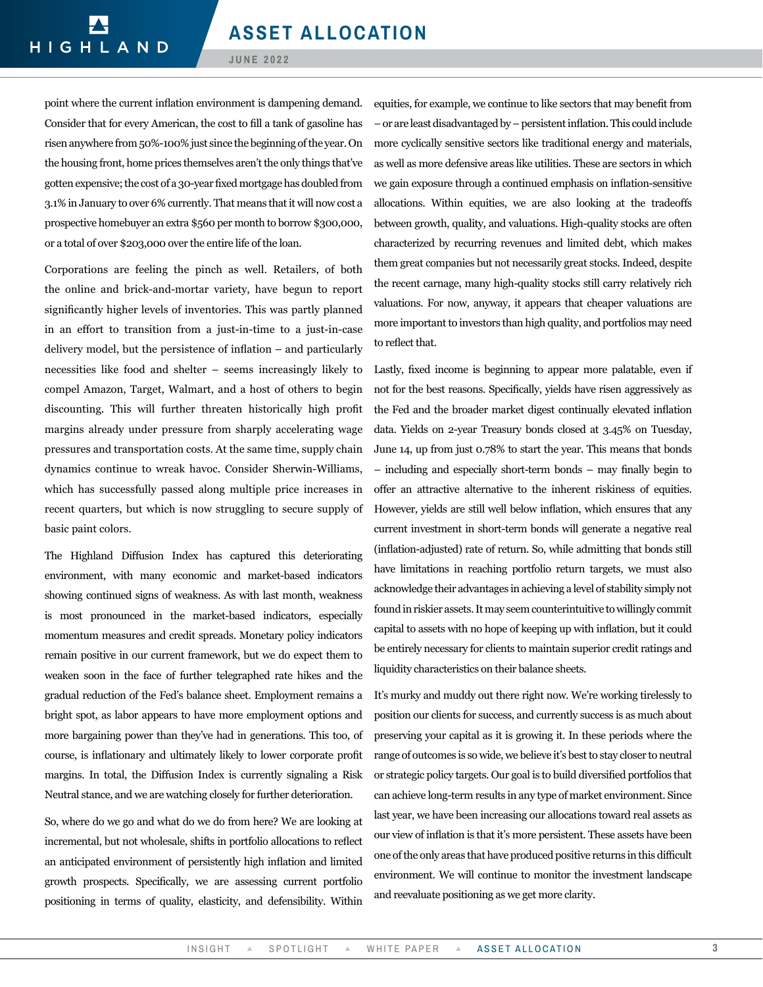**JUNE 2022**

point where the current inflation environment is dampening demand. Consider that for every American, the cost to fill a tank of gasoline has risen anywhere from 50%-100% just since the beginning of the year. On the housing front, home prices themselves aren't the only things that've gotten expensive; the cost of a 30-year fixed mortgage has doubled from 3.1% in January to over 6% currently. That means that it will now cost a prospective homebuyer an extra \$560 per month to borrow \$300,000, or a total of over \$203,000 over the entire life of the loan.

Corporations are feeling the pinch as well. Retailers, of both the online and brick-and-mortar variety, have begun to report significantly higher levels of inventories. This was partly planned in an effort to transition from a just-in-time to a just-in-case delivery model, but the persistence of inflation – and particularly necessities like food and shelter – seems increasingly likely to compel Amazon, Target, Walmart, and a host of others to begin discounting. This will further threaten historically high profit margins already under pressure from sharply accelerating wage pressures and transportation costs. At the same time, supply chain dynamics continue to wreak havoc. Consider Sherwin-Williams, which has successfully passed along multiple price increases in recent quarters, but which is now struggling to secure supply of basic paint colors.

The Highland Diffusion Index has captured this deteriorating environment, with many economic and market-based indicators showing continued signs of weakness. As with last month, weakness is most pronounced in the market-based indicators, especially momentum measures and credit spreads. Monetary policy indicators remain positive in our current framework, but we do expect them to weaken soon in the face of further telegraphed rate hikes and the gradual reduction of the Fed's balance sheet. Employment remains a bright spot, as labor appears to have more employment options and more bargaining power than they've had in generations. This too, of course, is inflationary and ultimately likely to lower corporate profit margins. In total, the Diffusion Index is currently signaling a Risk Neutral stance, and we are watching closely for further deterioration.

So, where do we go and what do we do from here? We are looking at incremental, but not wholesale, shifts in portfolio allocations to reflect an anticipated environment of persistently high inflation and limited growth prospects. Specifically, we are assessing current portfolio positioning in terms of quality, elasticity, and defensibility. Within equities, for example, we continue to like sectors that may benefit from – or are least disadvantaged by – persistent inflation. This could include more cyclically sensitive sectors like traditional energy and materials, as well as more defensive areas like utilities. These are sectors in which we gain exposure through a continued emphasis on inflation-sensitive allocations. Within equities, we are also looking at the tradeoffs between growth, quality, and valuations. High-quality stocks are often characterized by recurring revenues and limited debt, which makes them great companies but not necessarily great stocks. Indeed, despite the recent carnage, many high-quality stocks still carry relatively rich valuations. For now, anyway, it appears that cheaper valuations are more important to investors than high quality, and portfolios may need to reflect that.

Lastly, fixed income is beginning to appear more palatable, even if not for the best reasons. Specifically, yields have risen aggressively as the Fed and the broader market digest continually elevated inflation data. Yields on 2-year Treasury bonds closed at 3.45% on Tuesday, June 14, up from just 0.78% to start the year. This means that bonds – including and especially short-term bonds – may finally begin to offer an attractive alternative to the inherent riskiness of equities. However, yields are still well below inflation, which ensures that any current investment in short-term bonds will generate a negative real (inflation-adjusted) rate of return. So, while admitting that bonds still have limitations in reaching portfolio return targets, we must also acknowledge their advantages in achieving a level of stability simply not found in riskier assets. It may seem counterintuitive to willingly commit capital to assets with no hope of keeping up with inflation, but it could be entirely necessary for clients to maintain superior credit ratings and liquidity characteristics on their balance sheets.

It's murky and muddy out there right now. We're working tirelessly to position our clients for success, and currently success is as much about preserving your capital as it is growing it. In these periods where the range of outcomes is so wide, we believe it's best to stay closer to neutral or strategic policy targets. Our goal is to build diversified portfolios that can achieve long-term results in any type of market environment. Since last year, we have been increasing our allocations toward real assets as our view of inflation is that it's more persistent. These assets have been one of the only areas that have produced positive returns in this difficult environment. We will continue to monitor the investment landscape and reevaluate positioning as we get more clarity.